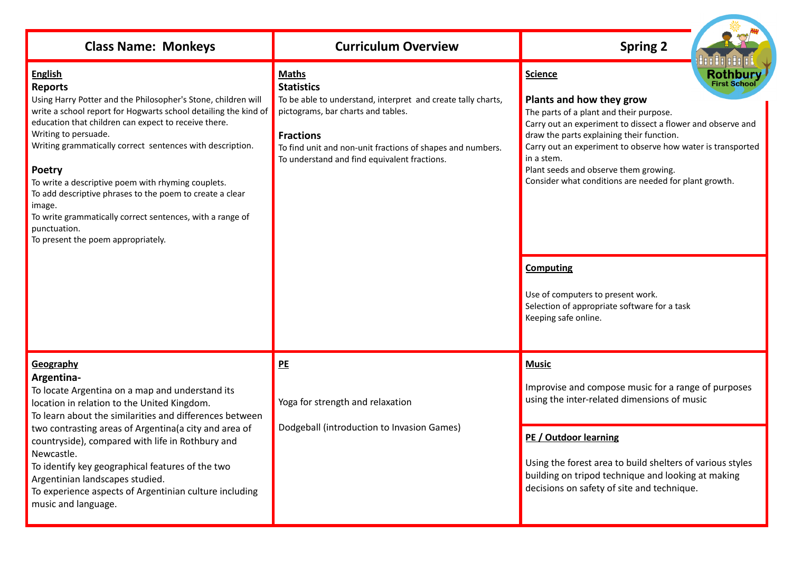| <b>Class Name: Monkeys</b>                                                                                                                                                                                                                                                                                                                                                                                                                                                                                                                                                 | <b>Curriculum Overview</b>                                                                                                                                                                                                                                                | <b>Spring 2</b>                                                                                                                                                                                                                                                                                                                                                                                                                                                                                                                                             |
|----------------------------------------------------------------------------------------------------------------------------------------------------------------------------------------------------------------------------------------------------------------------------------------------------------------------------------------------------------------------------------------------------------------------------------------------------------------------------------------------------------------------------------------------------------------------------|---------------------------------------------------------------------------------------------------------------------------------------------------------------------------------------------------------------------------------------------------------------------------|-------------------------------------------------------------------------------------------------------------------------------------------------------------------------------------------------------------------------------------------------------------------------------------------------------------------------------------------------------------------------------------------------------------------------------------------------------------------------------------------------------------------------------------------------------------|
| <b>English</b><br><b>Reports</b><br>Using Harry Potter and the Philosopher's Stone, children will<br>write a school report for Hogwarts school detailing the kind of<br>education that children can expect to receive there.<br>Writing to persuade.<br>Writing grammatically correct sentences with description.<br>Poetry<br>To write a descriptive poem with rhyming couplets.<br>To add descriptive phrases to the poem to create a clear<br>image.<br>To write grammatically correct sentences, with a range of<br>punctuation.<br>To present the poem appropriately. | <b>Maths</b><br><b>Statistics</b><br>To be able to understand, interpret and create tally charts,<br>pictograms, bar charts and tables.<br><b>Fractions</b><br>To find unit and non-unit fractions of shapes and numbers.<br>To understand and find equivalent fractions. | <b>Rothbury</b><br><b>Science</b><br><b>First School</b><br>Plants and how they grow<br>The parts of a plant and their purpose.<br>Carry out an experiment to dissect a flower and observe and<br>draw the parts explaining their function.<br>Carry out an experiment to observe how water is transported<br>in a stem.<br>Plant seeds and observe them growing.<br>Consider what conditions are needed for plant growth.<br><b>Computing</b><br>Use of computers to present work.<br>Selection of appropriate software for a task<br>Keeping safe online. |
| Geography<br>Argentina-<br>To locate Argentina on a map and understand its<br>location in relation to the United Kingdom.<br>To learn about the similarities and differences between<br>two contrasting areas of Argentina(a city and area of<br>countryside), compared with life in Rothbury and<br>Newcastle.<br>To identify key geographical features of the two<br>Argentinian landscapes studied.<br>To experience aspects of Argentinian culture including<br>music and language.                                                                                    | PE<br>Yoga for strength and relaxation<br>Dodgeball (introduction to Invasion Games)                                                                                                                                                                                      | <b>Music</b><br>Improvise and compose music for a range of purposes<br>using the inter-related dimensions of music                                                                                                                                                                                                                                                                                                                                                                                                                                          |
|                                                                                                                                                                                                                                                                                                                                                                                                                                                                                                                                                                            |                                                                                                                                                                                                                                                                           | PE / Outdoor learning<br>Using the forest area to build shelters of various styles<br>building on tripod technique and looking at making<br>decisions on safety of site and technique.                                                                                                                                                                                                                                                                                                                                                                      |